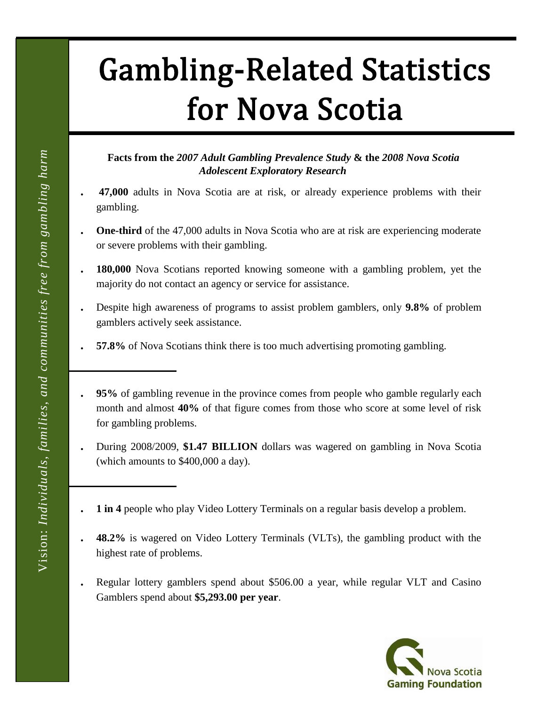## Gambling-Related Statistics for Nova Scotia

## **Facts from the** *2007 Adult Gambling Prevalence Study* **& the** *2008 Nova Scotia Adolescent Exploratory Research*

- . **47,000** adults in Nova Scotia are at risk, or already experience problems with their gambling.
- **One-third** of the 47,000 adults in Nova Scotia who are at risk are experiencing moderate or severe problems with their gambling.
- 180,000 Nova Scotians reported knowing someone with a gambling problem, yet the majority do not contact an agency or service for assistance.
- . Despite high awareness of programs to assist problem gamblers, only **9.8%** of problem gamblers actively seek assistance.
- . **57.8%** of Nova Scotians think there is too much advertising promoting gambling.
- . **95%** of gambling revenue in the province comes from people who gamble regularly each month and almost **40%** of that figure comes from those who score at some level of risk for gambling problems.
- . During 2008/2009, **\$1.47 BILLION** dollars was wagered on gambling in Nova Scotia (which amounts to \$400,000 a day).
- . **1 in 4** people who play Video Lottery Terminals on a regular basis develop a problem.
- . **48.2%** is wagered on Video Lottery Terminals (VLTs), the gambling product with the highest rate of problems.
- . Regular lottery gamblers spend about \$506.00 a year, while regular VLT and Casino Gamblers spend about **\$5,293.00 per year**.